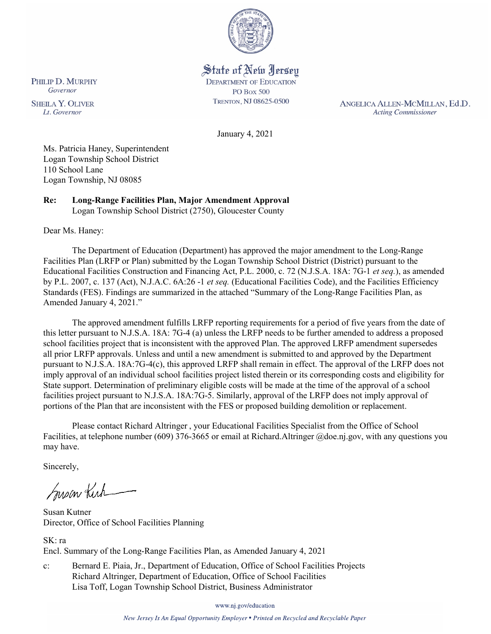

# State of New Jersey

**DEPARTMENT OF EDUCATION PO Box 500** TRENTON, NJ 08625-0500

ANGELICA ALLEN-MCMILLAN, Ed.D. **Acting Commissioner** 

January 4, 2021

Ms. Patricia Haney, Superintendent Logan Township School District 110 School Lane Logan Township, NJ 08085

**Re: Long-Range Facilities Plan, Major Amendment Approval**  Logan Township School District (2750), Gloucester County

Dear Ms. Haney:

The Department of Education (Department) has approved the major amendment to the Long-Range Facilities Plan (LRFP or Plan) submitted by the Logan Township School District (District) pursuant to the Educational Facilities Construction and Financing Act, P.L. 2000, c. 72 (N.J.S.A. 18A: 7G-1 *et seq.*), as amended by P.L. 2007, c. 137 (Act), N.J.A.C. 6A:26 -1 *et seq.* (Educational Facilities Code), and the Facilities Efficiency Standards (FES). Findings are summarized in the attached "Summary of the Long-Range Facilities Plan, as Amended January 4, 2021."

The approved amendment fulfills LRFP reporting requirements for a period of five years from the date of this letter pursuant to N.J.S.A. 18A: 7G-4 (a) unless the LRFP needs to be further amended to address a proposed school facilities project that is inconsistent with the approved Plan. The approved LRFP amendment supersedes all prior LRFP approvals. Unless and until a new amendment is submitted to and approved by the Department pursuant to N.J.S.A. 18A:7G-4(c), this approved LRFP shall remain in effect. The approval of the LRFP does not imply approval of an individual school facilities project listed therein or its corresponding costs and eligibility for State support. Determination of preliminary eligible costs will be made at the time of the approval of a school facilities project pursuant to N.J.S.A. 18A:7G-5. Similarly, approval of the LRFP does not imply approval of portions of the Plan that are inconsistent with the FES or proposed building demolition or replacement.

Please contact Richard Altringer , your Educational Facilities Specialist from the Office of School Facilities, at telephone number (609) 376-3665 or email at Richard.Altringer @doe.nj.gov, with any questions you may have.

Sincerely,

Susan Kich

Susan Kutner Director, Office of School Facilities Planning

SK: ra Encl. Summary of the Long-Range Facilities Plan, as Amended January 4, 2021

c: Bernard E. Piaia, Jr., Department of Education, Office of School Facilities Projects Richard Altringer, Department of Education, Office of School Facilities Lisa Toff, Logan Township School District, Business Administrator

www.nj.gov/education

New Jersey Is An Equal Opportunity Employer . Printed on Recycled and Recyclable Paper

PHILIP D. MURPHY Governor

**SHEILA Y. OLIVER** Lt. Governor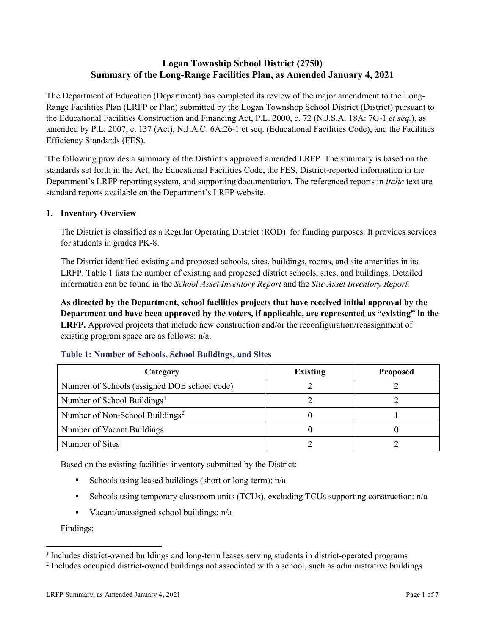## **Logan Township School District (2750) Summary of the Long-Range Facilities Plan, as Amended January 4, 2021**

The Department of Education (Department) has completed its review of the major amendment to the Long-Range Facilities Plan (LRFP or Plan) submitted by the Logan Townshop School District (District) pursuant to the Educational Facilities Construction and Financing Act, P.L. 2000, c. 72 (N.J.S.A. 18A: 7G-1 *et seq.*), as amended by P.L. 2007, c. 137 (Act), N.J.A.C. 6A:26-1 et seq. (Educational Facilities Code), and the Facilities Efficiency Standards (FES).

The following provides a summary of the District's approved amended LRFP. The summary is based on the standards set forth in the Act, the Educational Facilities Code, the FES, District-reported information in the Department's LRFP reporting system, and supporting documentation. The referenced reports in *italic* text are standard reports available on the Department's LRFP website.

## **1. Inventory Overview**

The District is classified as a Regular Operating District (ROD) for funding purposes. It provides services for students in grades PK-8.

The District identified existing and proposed schools, sites, buildings, rooms, and site amenities in its LRFP. Table 1 lists the number of existing and proposed district schools, sites, and buildings. Detailed information can be found in the *School Asset Inventory Report* and the *Site Asset Inventory Report.*

**As directed by the Department, school facilities projects that have received initial approval by the Department and have been approved by the voters, if applicable, are represented as "existing" in the LRFP.** Approved projects that include new construction and/or the reconfiguration/reassignment of existing program space are as follows: n/a.

| Category                                     | <b>Existing</b> | <b>Proposed</b> |
|----------------------------------------------|-----------------|-----------------|
| Number of Schools (assigned DOE school code) |                 |                 |
| Number of School Buildings <sup>1</sup>      |                 |                 |
| Number of Non-School Buildings <sup>2</sup>  |                 |                 |
| Number of Vacant Buildings                   |                 |                 |
| Number of Sites                              |                 |                 |

#### **Table 1: Number of Schools, School Buildings, and Sites**

Based on the existing facilities inventory submitted by the District:

- Schools using leased buildings (short or long-term):  $n/a$
- Schools using temporary classroom units (TCUs), excluding TCUs supporting construction: n/a
- Vacant/unassigned school buildings:  $n/a$

Findings:

 $\overline{a}$ 

<span id="page-1-1"></span><span id="page-1-0"></span>*<sup>1</sup>* Includes district-owned buildings and long-term leases serving students in district-operated programs

<sup>&</sup>lt;sup>2</sup> Includes occupied district-owned buildings not associated with a school, such as administrative buildings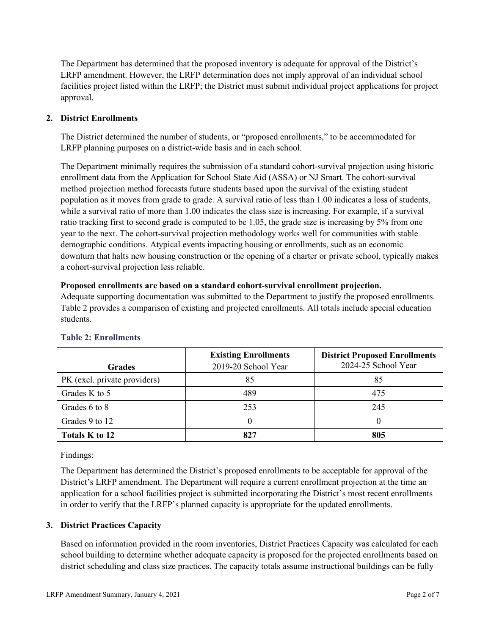The Department has determined that the proposed inventory is adequate for approval of the District's LRFP amendment. However, the LRFP determination does not imply approval of an individual school facilities project listed within the LRFP; the District must submit individual project applications for project approval.

## **2. District Enrollments**

The District determined the number of students, or "proposed enrollments," to be accommodated for LRFP planning purposes on a district-wide basis and in each school.

The Department minimally requires the submission of a standard cohort-survival projection using historic enrollment data from the Application for School State Aid (ASSA) or NJ Smart. The cohort-survival method projection method forecasts future students based upon the survival of the existing student population as it moves from grade to grade. A survival ratio of less than 1.00 indicates a loss of students, while a survival ratio of more than 1.00 indicates the class size is increasing. For example, if a survival ratio tracking first to second grade is computed to be 1.05, the grade size is increasing by 5% from one year to the next. The cohort-survival projection methodology works well for communities with stable demographic conditions. Atypical events impacting housing or enrollments, such as an economic downturn that halts new housing construction or the opening of a charter or private school, typically makes a cohort-survival projection less reliable.

#### **Proposed enrollments are based on a standard cohort-survival enrollment projection.**

Adequate supporting documentation was submitted to the Department to justify the proposed enrollments. Table 2 provides a comparison of existing and projected enrollments. All totals include special education students.

| <b>Grades</b>                | <b>Existing Enrollments</b><br>2019-20 School Year | <b>District Proposed Enrollments</b><br>2024-25 School Year |
|------------------------------|----------------------------------------------------|-------------------------------------------------------------|
| PK (excl. private providers) | 85                                                 | 85                                                          |
| Grades K to 5                | 489                                                | 475                                                         |
| Grades 6 to 8                | 253                                                | 245                                                         |
| Grades 9 to 12               |                                                    |                                                             |
| Totals K to 12               |                                                    | 805                                                         |

## **Table 2: Enrollments**

Findings:

The Department has determined the District's proposed enrollments to be acceptable for approval of the District's LRFP amendment. The Department will require a current enrollment projection at the time an application for a school facilities project is submitted incorporating the District's most recent enrollments in order to verify that the LRFP's planned capacity is appropriate for the updated enrollments.

## **3. District Practices Capacity**

Based on information provided in the room inventories, District Practices Capacity was calculated for each school building to determine whether adequate capacity is proposed for the projected enrollments based on district scheduling and class size practices. The capacity totals assume instructional buildings can be fully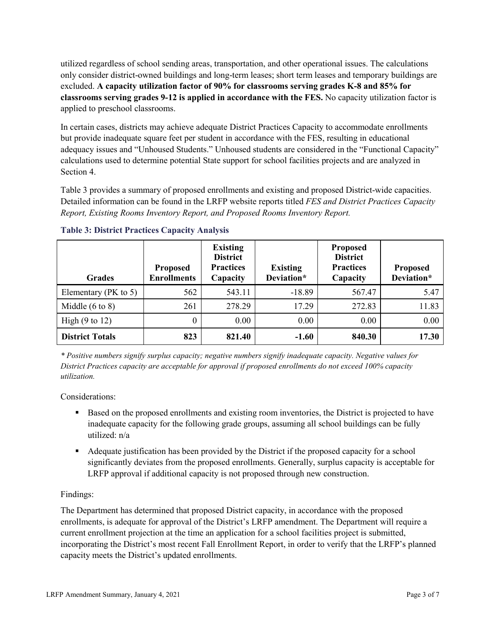utilized regardless of school sending areas, transportation, and other operational issues. The calculations only consider district-owned buildings and long-term leases; short term leases and temporary buildings are excluded. **A capacity utilization factor of 90% for classrooms serving grades K-8 and 85% for classrooms serving grades 9-12 is applied in accordance with the FES.** No capacity utilization factor is applied to preschool classrooms.

In certain cases, districts may achieve adequate District Practices Capacity to accommodate enrollments but provide inadequate square feet per student in accordance with the FES, resulting in educational adequacy issues and "Unhoused Students." Unhoused students are considered in the "Functional Capacity" calculations used to determine potential State support for school facilities projects and are analyzed in Section 4.

Table 3 provides a summary of proposed enrollments and existing and proposed District-wide capacities. Detailed information can be found in the LRFP website reports titled *FES and District Practices Capacity Report, Existing Rooms Inventory Report, and Proposed Rooms Inventory Report.*

| <b>Grades</b>              | <b>Proposed</b><br><b>Enrollments</b> | <b>Existing</b><br><b>District</b><br><b>Practices</b><br>Capacity | <b>Existing</b><br>Deviation* | <b>Proposed</b><br><b>District</b><br><b>Practices</b><br>Capacity | <b>Proposed</b><br>Deviation* |
|----------------------------|---------------------------------------|--------------------------------------------------------------------|-------------------------------|--------------------------------------------------------------------|-------------------------------|
| Elementary ( $PK$ to 5)    | 562                                   | 543.11                                                             | $-18.89$                      | 567.47                                                             | 5.47                          |
| Middle $(6 \text{ to } 8)$ | 261                                   | 278.29                                                             | 17.29                         | 272.83                                                             | 11.83                         |
| High $(9 \text{ to } 12)$  | 0                                     | 0.00                                                               | 0.00                          | 0.00                                                               | 0.00                          |
| <b>District Totals</b>     | 823                                   | 821.40                                                             | $-1.60$                       | 840.30                                                             | 17.30                         |

**Table 3: District Practices Capacity Analysis**

*\* Positive numbers signify surplus capacity; negative numbers signify inadequate capacity. Negative values for District Practices capacity are acceptable for approval if proposed enrollments do not exceed 100% capacity utilization.*

Considerations:

- Based on the proposed enrollments and existing room inventories, the District is projected to have inadequate capacity for the following grade groups, assuming all school buildings can be fully utilized: n/a
- Adequate justification has been provided by the District if the proposed capacity for a school significantly deviates from the proposed enrollments. Generally, surplus capacity is acceptable for LRFP approval if additional capacity is not proposed through new construction.

## Findings:

The Department has determined that proposed District capacity, in accordance with the proposed enrollments, is adequate for approval of the District's LRFP amendment. The Department will require a current enrollment projection at the time an application for a school facilities project is submitted, incorporating the District's most recent Fall Enrollment Report, in order to verify that the LRFP's planned capacity meets the District's updated enrollments.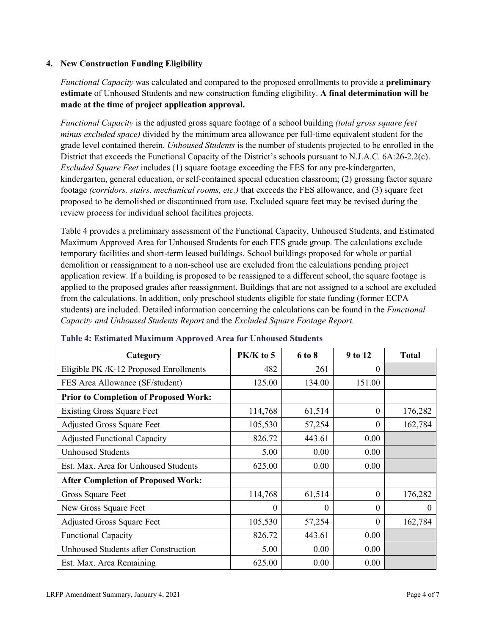#### **4. New Construction Funding Eligibility**

*Functional Capacity* was calculated and compared to the proposed enrollments to provide a **preliminary estimate** of Unhoused Students and new construction funding eligibility. **A final determination will be made at the time of project application approval.**

*Functional Capacity* is the adjusted gross square footage of a school building *(total gross square feet minus excluded space)* divided by the minimum area allowance per full-time equivalent student for the grade level contained therein. *Unhoused Students* is the number of students projected to be enrolled in the District that exceeds the Functional Capacity of the District's schools pursuant to N.J.A.C. 6A:26-2.2(c). *Excluded Square Feet* includes (1) square footage exceeding the FES for any pre-kindergarten, kindergarten, general education, or self-contained special education classroom; (2) grossing factor square footage *(corridors, stairs, mechanical rooms, etc.)* that exceeds the FES allowance, and (3) square feet proposed to be demolished or discontinued from use. Excluded square feet may be revised during the review process for individual school facilities projects.

Table 4 provides a preliminary assessment of the Functional Capacity, Unhoused Students, and Estimated Maximum Approved Area for Unhoused Students for each FES grade group. The calculations exclude temporary facilities and short-term leased buildings. School buildings proposed for whole or partial demolition or reassignment to a non-school use are excluded from the calculations pending project application review. If a building is proposed to be reassigned to a different school, the square footage is applied to the proposed grades after reassignment. Buildings that are not assigned to a school are excluded from the calculations. In addition, only preschool students eligible for state funding (former ECPA students) are included. Detailed information concerning the calculations can be found in the *Functional Capacity and Unhoused Students Report* and the *Excluded Square Footage Report.*

| Category                                     | $PK/K$ to 5 | 6 to 8   | 9 to 12  | <b>Total</b> |
|----------------------------------------------|-------------|----------|----------|--------------|
| Eligible PK /K-12 Proposed Enrollments       | 482         | 261      | 0        |              |
| FES Area Allowance (SF/student)              | 125.00      | 134.00   | 151.00   |              |
| <b>Prior to Completion of Proposed Work:</b> |             |          |          |              |
| <b>Existing Gross Square Feet</b>            | 114,768     | 61,514   | $\theta$ | 176,282      |
| <b>Adjusted Gross Square Feet</b>            | 105,530     | 57,254   | $\theta$ | 162,784      |
| <b>Adjusted Functional Capacity</b>          | 826.72      | 443.61   | 0.00     |              |
| <b>Unhoused Students</b>                     | 5.00        | 0.00     | 0.00     |              |
| Est. Max. Area for Unhoused Students         | 625.00      | 0.00     | 0.00     |              |
| <b>After Completion of Proposed Work:</b>    |             |          |          |              |
| Gross Square Feet                            | 114,768     | 61,514   | $\theta$ | 176,282      |
| New Gross Square Feet                        | $\theta$    | $\Omega$ | $\Omega$ | $\theta$     |
| <b>Adjusted Gross Square Feet</b>            | 105,530     | 57,254   | $\theta$ | 162,784      |
| <b>Functional Capacity</b>                   | 826.72      | 443.61   | 0.00     |              |
| <b>Unhoused Students after Construction</b>  | 5.00        | 0.00     | 0.00     |              |
| Est. Max. Area Remaining                     | 625.00      | 0.00     | 0.00     |              |

#### **Table 4: Estimated Maximum Approved Area for Unhoused Students**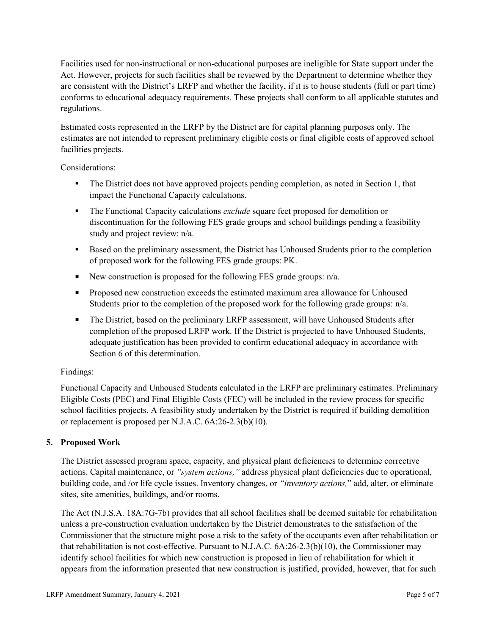Facilities used for non-instructional or non-educational purposes are ineligible for State support under the Act. However, projects for such facilities shall be reviewed by the Department to determine whether they are consistent with the District's LRFP and whether the facility, if it is to house students (full or part time) conforms to educational adequacy requirements. These projects shall conform to all applicable statutes and regulations.

Estimated costs represented in the LRFP by the District are for capital planning purposes only. The estimates are not intended to represent preliminary eligible costs or final eligible costs of approved school facilities projects.

Considerations:

- The District does not have approved projects pending completion, as noted in Section 1, that impact the Functional Capacity calculations.
- **The Functional Capacity calculations** *exclude* square feet proposed for demolition or discontinuation for the following FES grade groups and school buildings pending a feasibility study and project review: n/a.
- Based on the preliminary assessment, the District has Unhoused Students prior to the completion of proposed work for the following FES grade groups: PK.
- New construction is proposed for the following FES grade groups: n/a.
- Proposed new construction exceeds the estimated maximum area allowance for Unhoused Students prior to the completion of the proposed work for the following grade groups: n/a.
- The District, based on the preliminary LRFP assessment, will have Unhoused Students after completion of the proposed LRFP work. If the District is projected to have Unhoused Students, adequate justification has been provided to confirm educational adequacy in accordance with Section 6 of this determination.

## Findings:

Functional Capacity and Unhoused Students calculated in the LRFP are preliminary estimates. Preliminary Eligible Costs (PEC) and Final Eligible Costs (FEC) will be included in the review process for specific school facilities projects. A feasibility study undertaken by the District is required if building demolition or replacement is proposed per N.J.A.C. 6A:26-2.3(b)(10).

## **5. Proposed Work**

The District assessed program space, capacity, and physical plant deficiencies to determine corrective actions. Capital maintenance, or *"system actions,"* address physical plant deficiencies due to operational, building code, and /or life cycle issues. Inventory changes, or *"inventory actions,*" add, alter, or eliminate sites, site amenities, buildings, and/or rooms.

The Act (N.J.S.A. 18A:7G-7b) provides that all school facilities shall be deemed suitable for rehabilitation unless a pre-construction evaluation undertaken by the District demonstrates to the satisfaction of the Commissioner that the structure might pose a risk to the safety of the occupants even after rehabilitation or that rehabilitation is not cost-effective. Pursuant to N.J.A.C. 6A:26-2.3(b)(10), the Commissioner may identify school facilities for which new construction is proposed in lieu of rehabilitation for which it appears from the information presented that new construction is justified, provided, however, that for such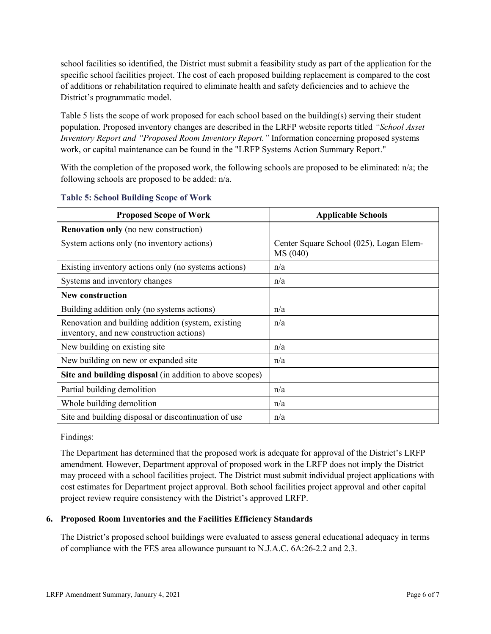school facilities so identified, the District must submit a feasibility study as part of the application for the specific school facilities project. The cost of each proposed building replacement is compared to the cost of additions or rehabilitation required to eliminate health and safety deficiencies and to achieve the District's programmatic model.

Table 5 lists the scope of work proposed for each school based on the building(s) serving their student population. Proposed inventory changes are described in the LRFP website reports titled *"School Asset Inventory Report and "Proposed Room Inventory Report."* Information concerning proposed systems work, or capital maintenance can be found in the "LRFP Systems Action Summary Report."

With the completion of the proposed work, the following schools are proposed to be eliminated:  $n/a$ ; the following schools are proposed to be added: n/a.

| <b>Proposed Scope of Work</b>                                                                  | <b>Applicable Schools</b>                           |
|------------------------------------------------------------------------------------------------|-----------------------------------------------------|
| <b>Renovation only</b> (no new construction)                                                   |                                                     |
| System actions only (no inventory actions)                                                     | Center Square School (025), Logan Elem-<br>MS (040) |
| Existing inventory actions only (no systems actions)                                           | n/a                                                 |
| Systems and inventory changes                                                                  | n/a                                                 |
| <b>New construction</b>                                                                        |                                                     |
| Building addition only (no systems actions)                                                    | n/a                                                 |
| Renovation and building addition (system, existing<br>inventory, and new construction actions) | n/a                                                 |
| New building on existing site                                                                  | n/a                                                 |
| New building on new or expanded site                                                           | n/a                                                 |
| Site and building disposal (in addition to above scopes)                                       |                                                     |
| Partial building demolition                                                                    | n/a                                                 |
| Whole building demolition                                                                      | n/a                                                 |
| Site and building disposal or discontinuation of use                                           | n/a                                                 |

#### **Table 5: School Building Scope of Work**

Findings:

The Department has determined that the proposed work is adequate for approval of the District's LRFP amendment. However, Department approval of proposed work in the LRFP does not imply the District may proceed with a school facilities project. The District must submit individual project applications with cost estimates for Department project approval. Both school facilities project approval and other capital project review require consistency with the District's approved LRFP.

## **6. Proposed Room Inventories and the Facilities Efficiency Standards**

The District's proposed school buildings were evaluated to assess general educational adequacy in terms of compliance with the FES area allowance pursuant to N.J.A.C. 6A:26-2.2 and 2.3.